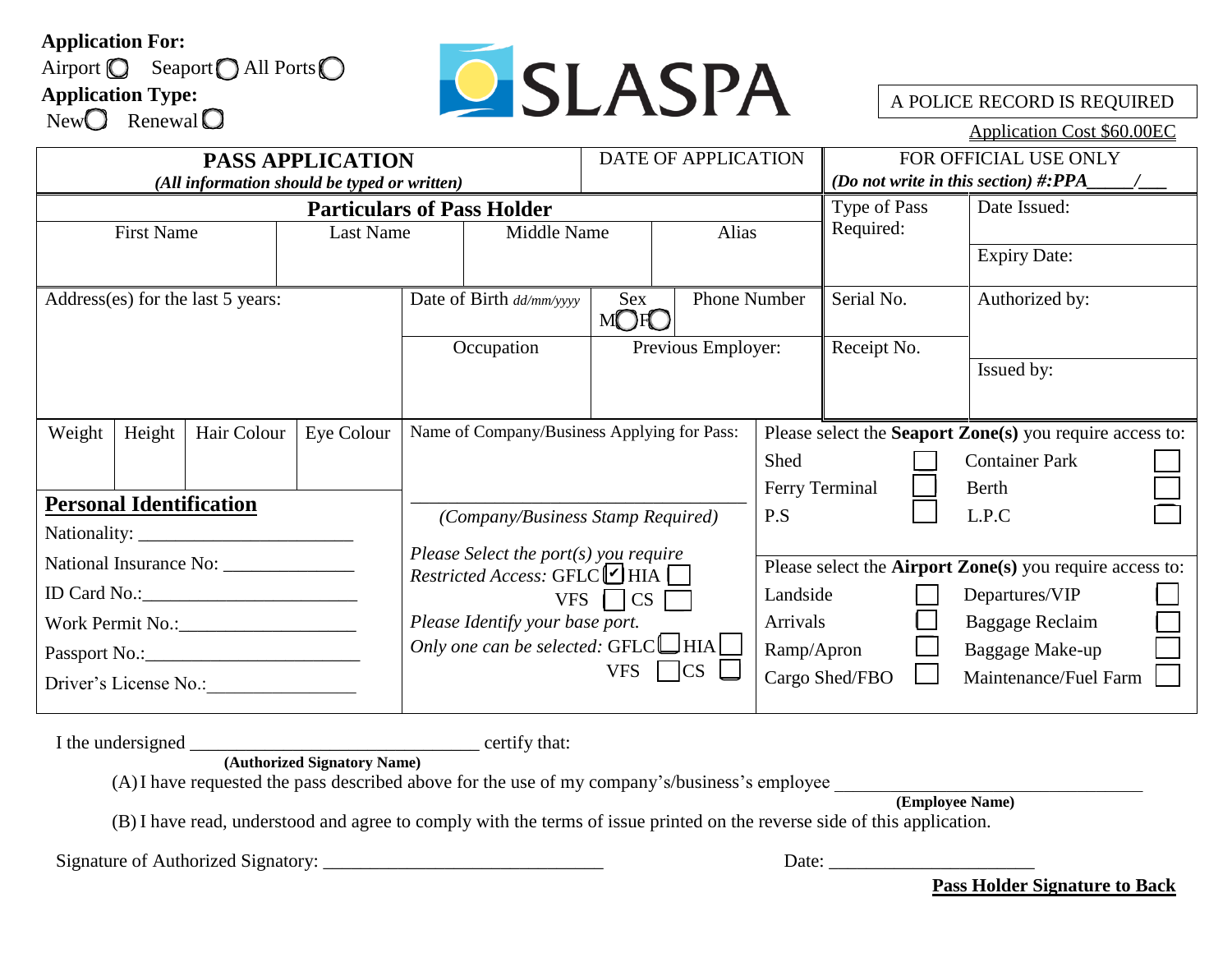## **Application For:**





A POLICE RECORD IS REQUIRED

Application Cost \$60.00EC

| <b>PASS APPLICATION</b>                      |        |             |                          |                                                                                           |                                             | DATE OF APPLICATION |              |                | FOR OFFICIAL USE ONLY                     |                                                                  |                 |                                                          |  |
|----------------------------------------------|--------|-------------|--------------------------|-------------------------------------------------------------------------------------------|---------------------------------------------|---------------------|--------------|----------------|-------------------------------------------|------------------------------------------------------------------|-----------------|----------------------------------------------------------|--|
| (All information should be typed or written) |        |             |                          |                                                                                           |                                             |                     |              |                | (Do not write in this section) $\#:\!PPA$ |                                                                  |                 |                                                          |  |
|                                              |        |             |                          |                                                                                           | <b>Particulars of Pass Holder</b>           |                     |              |                | Type of Pass                              |                                                                  | Date Issued:    |                                                          |  |
| <b>First Name</b>                            |        |             | Last Name                | Middle Name                                                                               |                                             |                     |              | Alias          |                                           | Required:                                                        |                 |                                                          |  |
|                                              |        |             |                          |                                                                                           |                                             |                     |              |                |                                           | <b>Expiry Date:</b>                                              |                 |                                                          |  |
| Address(es) for the last 5 years:            |        |             | Date of Birth dd/mm/yyyy |                                                                                           | Sex<br>MORO                                 |                     | Phone Number |                | Serial No.                                |                                                                  | Authorized by:  |                                                          |  |
|                                              |        |             | Occupation               |                                                                                           | Previous Employer:                          |                     | Receipt No.  |                |                                           |                                                                  |                 |                                                          |  |
|                                              |        |             |                          |                                                                                           |                                             |                     |              |                |                                           | Issued by:                                                       |                 |                                                          |  |
|                                              |        |             |                          |                                                                                           |                                             |                     |              |                |                                           |                                                                  |                 |                                                          |  |
| Weight                                       | Height | Hair Colour | Eye Colour               |                                                                                           | Name of Company/Business Applying for Pass: |                     |              |                |                                           |                                                                  |                 | Please select the Seaport Zone(s) you require access to: |  |
|                                              |        |             |                          |                                                                                           |                                             |                     |              |                | Shed                                      |                                                                  |                 | <b>Container Park</b>                                    |  |
|                                              |        |             |                          |                                                                                           |                                             |                     |              |                |                                           | Ferry Terminal                                                   |                 | Berth                                                    |  |
| <b>Personal Identification</b>               |        |             |                          | (Company/Business Stamp Required)                                                         |                                             |                     | P.S          |                |                                           | L.P.C                                                            |                 |                                                          |  |
|                                              |        |             |                          |                                                                                           |                                             |                     |              |                |                                           |                                                                  |                 |                                                          |  |
|                                              |        |             |                          | Please Select the port(s) you require<br>Restricted Access: GFLC $\blacktriangledown$ HIA |                                             |                     |              |                |                                           | Please select the <b>Airport Zone</b> (s) you require access to: |                 |                                                          |  |
|                                              |        |             |                          | $VFS$   $\overline{CS}$                                                                   |                                             |                     |              | Landside       | Departures/VIP                            |                                                                  |                 |                                                          |  |
|                                              |        |             |                          | Please Identify your base port.                                                           |                                             |                     |              | Arrivals       |                                           |                                                                  | Baggage Reclaim |                                                          |  |
|                                              |        |             |                          | Only one can be selected: $GFLC$ HIA<br>$\lfloor$ CS $\lfloor$<br><b>VFS</b>              |                                             |                     |              | Ramp/Apron     |                                           |                                                                  | Baggage Make-up |                                                          |  |
| Driver's License No.:                        |        |             |                          |                                                                                           |                                             |                     |              | Cargo Shed/FBO |                                           | Maintenance/Fuel Farm                                            |                 |                                                          |  |

I the undersigned \_\_\_\_\_\_\_\_\_\_\_\_\_\_\_\_\_\_\_\_\_\_\_\_\_\_\_\_\_\_\_ certify that:

**(Authorized Signatory Name)**

 $(A)$ I have requested the pass described above for the use of my company's/business's employee

**(Employee Name)**

(B) I have read, understood and agree to comply with the terms of issue printed on the reverse side of this application.

Signature of Authorized Signatory: \_\_\_\_\_\_\_\_\_\_\_\_\_\_\_\_\_\_\_\_\_\_\_\_\_\_\_\_\_\_ Date: \_\_\_\_\_\_\_\_\_\_\_\_\_\_\_\_\_\_\_\_\_\_

**Pass Holder Signature to Back**